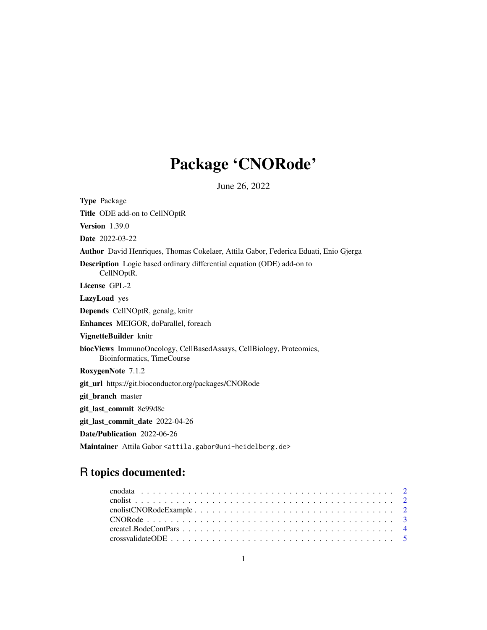# Package 'CNORode'

June 26, 2022

<span id="page-0-0"></span>

| <b>Type Package</b>                                                                               |
|---------------------------------------------------------------------------------------------------|
| Title ODE add-on to CellNOptR                                                                     |
| <b>Version</b> 1.39.0                                                                             |
| <b>Date</b> 2022-03-22                                                                            |
| Author David Henriques, Thomas Cokelaer, Attila Gabor, Federica Eduati, Enio Gjerga               |
| <b>Description</b> Logic based ordinary differential equation (ODE) add-on to<br>CellNOptR.       |
| License GPL-2                                                                                     |
| LazyLoad yes                                                                                      |
| Depends CellNOptR, genalg, knitr                                                                  |
| Enhances MEIGOR, doParallel, foreach                                                              |
| VignetteBuilder knitr                                                                             |
| biocViews ImmunoOncology, CellBasedAssays, CellBiology, Proteomics,<br>Bioinformatics, TimeCourse |
| RoxygenNote 7.1.2                                                                                 |
| git_url https://git.bioconductor.org/packages/CNORode                                             |
| git_branch master                                                                                 |
| git_last_commit 8e99d8c                                                                           |
| git_last_commit_date 2022-04-26                                                                   |
| Date/Publication 2022-06-26                                                                       |
| Maintainer Attila Gabor <attila.gabor@uni-heidelberg.de></attila.gabor@uni-heidelberg.de>         |

## R topics documented: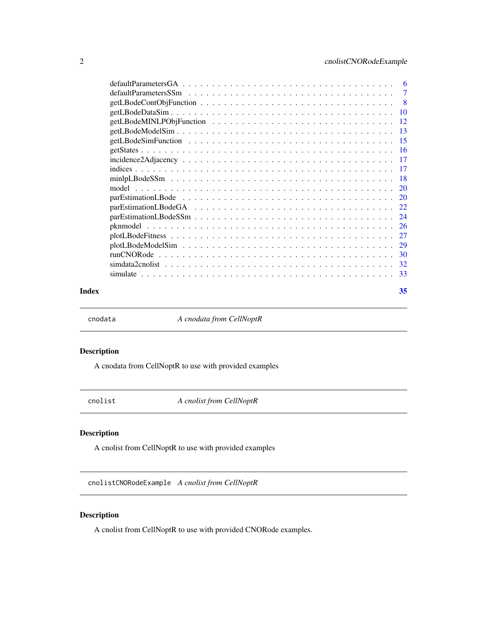<span id="page-1-0"></span>

|       | $minlpLBodeSSm \dots \dots \dots \dots \dots \dots \dots \dots \dots \dots \dots \dots \dots \dots \dots \dots \dots$ |    |
|-------|-----------------------------------------------------------------------------------------------------------------------|----|
|       |                                                                                                                       |    |
|       |                                                                                                                       |    |
|       |                                                                                                                       |    |
|       |                                                                                                                       |    |
|       |                                                                                                                       |    |
|       |                                                                                                                       |    |
|       |                                                                                                                       |    |
|       |                                                                                                                       |    |
|       |                                                                                                                       |    |
|       |                                                                                                                       |    |
| Index |                                                                                                                       | 35 |

cnodata *A cnodata from CellNoptR*

#### Description

A cnodata from CellNoptR to use with provided examples

cnolist *A cnolist from CellNoptR*

#### Description

A cnolist from CellNoptR to use with provided examples

cnolistCNORodeExample *A cnolist from CellNoptR*

#### Description

A cnolist from CellNoptR to use with provided CNORode examples.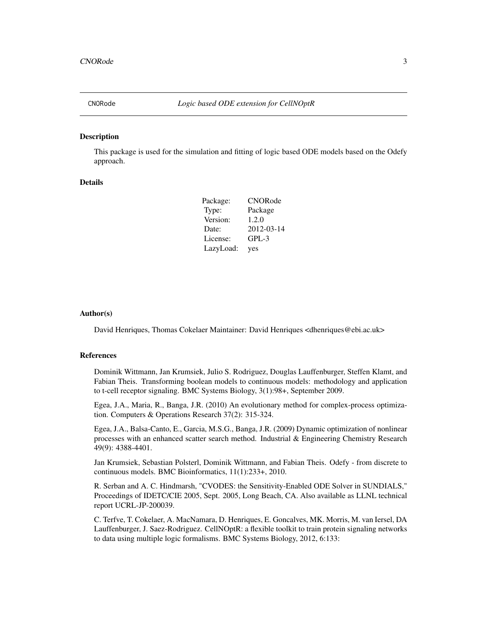<span id="page-2-1"></span><span id="page-2-0"></span>

#### Description

This package is used for the simulation and fitting of logic based ODE models based on the Odefy approach.

#### Details

| Package:  | <b>CNORode</b> |
|-----------|----------------|
| Type:     | Package        |
| Version:  | 1.2.0          |
| Date:     | 2012-03-14     |
| License:  | $GPL-3$        |
| LazyLoad: | yes            |

#### Author(s)

David Henriques, Thomas Cokelaer Maintainer: David Henriques <dhenriques@ebi.ac.uk>

#### References

Dominik Wittmann, Jan Krumsiek, Julio S. Rodriguez, Douglas Lauffenburger, Steffen Klamt, and Fabian Theis. Transforming boolean models to continuous models: methodology and application to t-cell receptor signaling. BMC Systems Biology, 3(1):98+, September 2009.

Egea, J.A., Maria, R., Banga, J.R. (2010) An evolutionary method for complex-process optimization. Computers & Operations Research 37(2): 315-324.

Egea, J.A., Balsa-Canto, E., Garcia, M.S.G., Banga, J.R. (2009) Dynamic optimization of nonlinear processes with an enhanced scatter search method. Industrial & Engineering Chemistry Research 49(9): 4388-4401.

Jan Krumsiek, Sebastian Polsterl, Dominik Wittmann, and Fabian Theis. Odefy - from discrete to continuous models. BMC Bioinformatics, 11(1):233+, 2010.

R. Serban and A. C. Hindmarsh, "CVODES: the Sensitivity-Enabled ODE Solver in SUNDIALS," Proceedings of IDETC/CIE 2005, Sept. 2005, Long Beach, CA. Also available as LLNL technical report UCRL-JP-200039.

C. Terfve, T. Cokelaer, A. MacNamara, D. Henriques, E. Goncalves, MK. Morris, M. van Iersel, DA Lauffenburger, J. Saez-Rodriguez. CellNOptR: a flexible toolkit to train protein signaling networks to data using multiple logic formalisms. BMC Systems Biology, 2012, 6:133: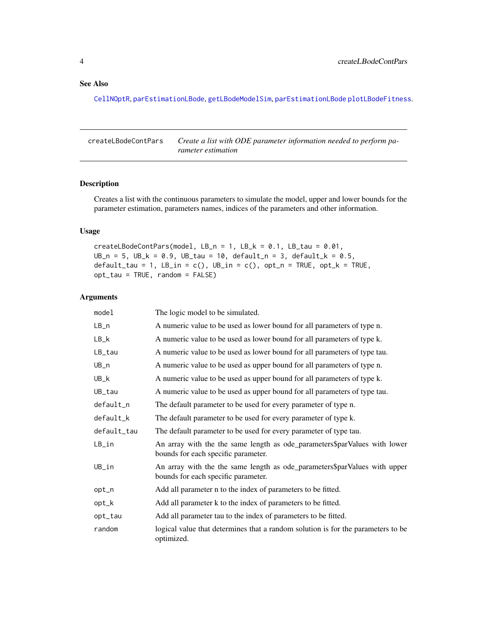#### <span id="page-3-0"></span>See Also

[CellNOptR](#page-0-0), [parEstimationLBode](#page-19-1), [getLBodeModelSim](#page-12-1), [parEstimationLBode](#page-19-1) [plotLBodeFitness](#page-26-1).

<span id="page-3-1"></span>createLBodeContPars *Create a list with ODE parameter information needed to perform parameter estimation*

#### Description

Creates a list with the continuous parameters to simulate the model, upper and lower bounds for the parameter estimation, parameters names, indices of the parameters and other information.

#### Usage

createLBodeContPars(model, LB\_n = 1, LB\_k =  $0.1$ , LB\_tau =  $0.01$ , UB\_n = 5, UB\_k = 0.9, UB\_tau = 10, default\_n = 3, default\_k = 0.5,  $default\_tau = 1$ ,  $LB\_in = c()$ ,  $UB\_in = c()$ ,  $opt\_n = TRUE$ ,  $opt\_k = TRUE$ , opt\_tau = TRUE, random = FALSE)

| model       | The logic model to be simulated.                                                                                 |
|-------------|------------------------------------------------------------------------------------------------------------------|
| $LB_n$      | A numeric value to be used as lower bound for all parameters of type n.                                          |
| $LB_k$      | A numeric value to be used as lower bound for all parameters of type k.                                          |
| LB_tau      | A numeric value to be used as lower bound for all parameters of type tau.                                        |
| UB_n        | A numeric value to be used as upper bound for all parameters of type n.                                          |
| UB_k        | A numeric value to be used as upper bound for all parameters of type k.                                          |
| UB_tau      | A numeric value to be used as upper bound for all parameters of type tau.                                        |
| default_n   | The default parameter to be used for every parameter of type n.                                                  |
| default_k   | The default parameter to be used for every parameter of type k.                                                  |
| default_tau | The default parameter to be used for every parameter of type tau.                                                |
| LB_in       | An array with the the same length as ode_parameters\$parValues with lower<br>bounds for each specific parameter. |
| UB_in       | An array with the the same length as ode_parameters\$parValues with upper<br>bounds for each specific parameter. |
| opt_n       | Add all parameter n to the index of parameters to be fitted.                                                     |
| opt_k       | Add all parameter k to the index of parameters to be fitted.                                                     |
| opt_tau     | Add all parameter tau to the index of parameters to be fitted.                                                   |
| random      | logical value that determines that a random solution is for the parameters to be<br>optimized.                   |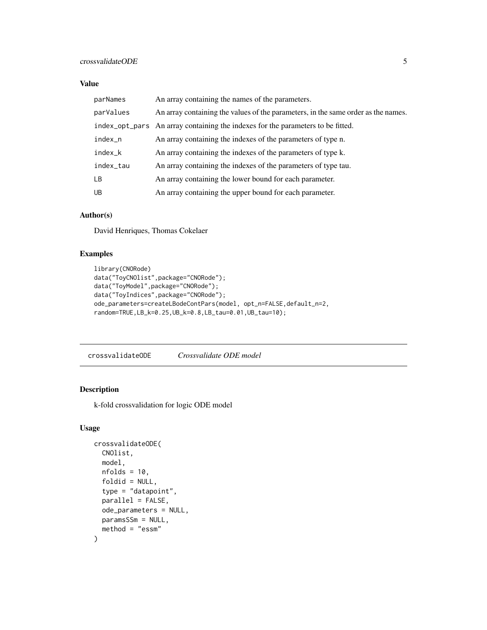#### <span id="page-4-0"></span>crossvalidateODE 5

#### Value

| parNames  | An array containing the names of the parameters.                                  |
|-----------|-----------------------------------------------------------------------------------|
| parValues | An array containing the values of the parameters, in the same order as the names. |
|           | index_opt_pars An array containing the indexes for the parameters to be fitted.   |
| index_n   | An array containing the indexes of the parameters of type n.                      |
| index_k   | An array containing the indexes of the parameters of type k.                      |
| index_tau | An array containing the indexes of the parameters of type tau.                    |
| <b>LB</b> | An array containing the lower bound for each parameter.                           |
| <b>UB</b> | An array containing the upper bound for each parameter.                           |

#### Author(s)

David Henriques, Thomas Cokelaer

#### Examples

```
library(CNORode)
data("ToyCNOlist",package="CNORode");
data("ToyModel",package="CNORode");
data("ToyIndices",package="CNORode");
ode_parameters=createLBodeContPars(model, opt_n=FALSE,default_n=2,
random=TRUE,LB_k=0.25,UB_k=0.8,LB_tau=0.01,UB_tau=10);
```
crossvalidateODE *Crossvalidate ODE model*

#### Description

k-fold crossvalidation for logic ODE model

#### Usage

```
crossvalidateODE(
  CNOlist,
 model,
  nfolds = 10,
  foldid = NULL,
  type = "datapoint",
  parallel = FALSE,
  ode_parameters = NULL,
 paramsSSm = NULL,
 method = "essm"
)
```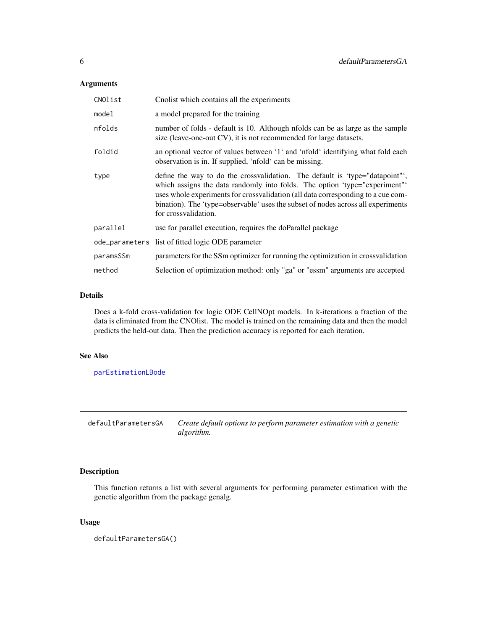#### <span id="page-5-0"></span>Arguments

| CNOlist   | Cnolist which contains all the experiments                                                                                                                                                                                                                                                                                                                |
|-----------|-----------------------------------------------------------------------------------------------------------------------------------------------------------------------------------------------------------------------------------------------------------------------------------------------------------------------------------------------------------|
| model     | a model prepared for the training                                                                                                                                                                                                                                                                                                                         |
| nfolds    | number of folds - default is 10. Although nfolds can be as large as the sample<br>size (leave-one-out CV), it is not recommended for large datasets.                                                                                                                                                                                                      |
| foldid    | an optional vector of values between '1' and 'nfold' identifying what fold each<br>observation is in. If supplied, 'nfold' can be missing.                                                                                                                                                                                                                |
| type      | define the way to do the crossvalidation. The default is 'type="datapoint"',<br>which assigns the data randomly into folds. The option 'type="experiment"<br>uses whole experiments for crossvalidation (all data corresponding to a cue com-<br>bination). The 'type=observable' uses the subset of nodes across all experiments<br>for crossvalidation. |
| parallel  | use for parallel execution, requires the doParallel package                                                                                                                                                                                                                                                                                               |
|           | ode_parameters list of fitted logic ODE parameter                                                                                                                                                                                                                                                                                                         |
| paramsSSm | parameters for the SSm optimizer for running the optimization in crossvalidation                                                                                                                                                                                                                                                                          |
| method    | Selection of optimization method: only "ga" or "essm" arguments are accepted                                                                                                                                                                                                                                                                              |

#### Details

Does a k-fold cross-validation for logic ODE CellNOpt models. In k-iterations a fraction of the data is eliminated from the CNOlist. The model is trained on the remaining data and then the model predicts the held-out data. Then the prediction accuracy is reported for each iteration.

#### See Also

[parEstimationLBode](#page-19-1)

defaultParametersGA *Create default options to perform parameter estimation with a genetic algorithm.*

#### Description

This function returns a list with several arguments for performing parameter estimation with the genetic algorithm from the package genalg.

#### Usage

defaultParametersGA()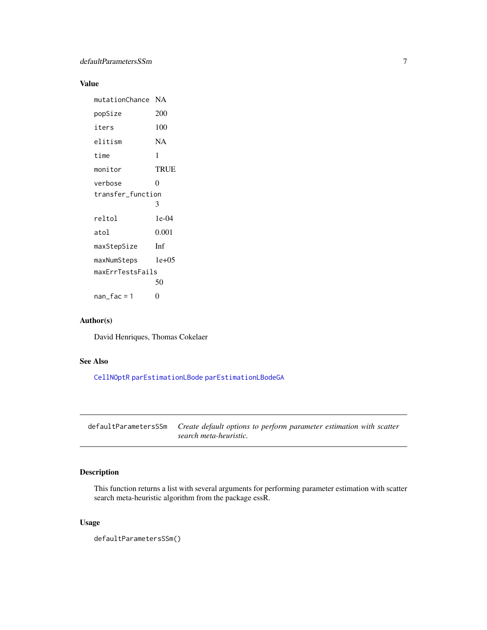#### <span id="page-6-0"></span>Value

| mutationChance    | NA          |
|-------------------|-------------|
| popSize           | 200         |
| iters             | 100         |
| elitism           | NA          |
| time              | 1           |
| monitor           | <b>TRUE</b> |
| verbose           | 0           |
| transfer_function |             |
|                   | 3           |
| reltol            | $1e-04$     |
| atol              | 0.001       |
| maxStepSize       | Inf         |
| maxNumSteps       | $1e+0.5$    |
| maxErrTestsFails  |             |
|                   | 50          |
| nan_fac = 1       | 0           |

#### Author(s)

David Henriques, Thomas Cokelaer

#### See Also

[CellNOptR](#page-0-0) [parEstimationLBode](#page-19-1) [parEstimationLBodeGA](#page-21-1)

defaultParametersSSm *Create default options to perform parameter estimation with scatter search meta-heuristic.*

#### Description

This function returns a list with several arguments for performing parameter estimation with scatter search meta-heuristic algorithm from the package essR.

#### Usage

defaultParametersSSm()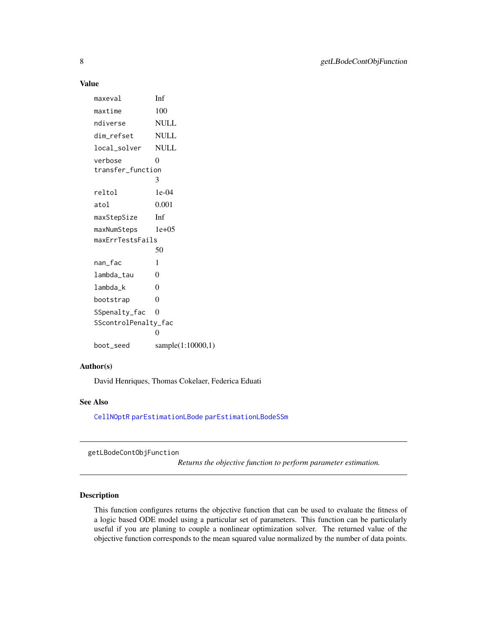#### Value

maxeval Inf maxtime 100 ndiverse NULL dim\_refset NULL local\_solver NULL verbose 0 transfer\_function 3 reltol 1e-04 atol 0.001 maxStepSize Inf maxNumSteps 1e+05 maxErrTestsFails 50 nan\_fac 1 lambda\_tau 0 lambda\_k 0 bootstrap 0 SSpenalty\_fac 0 SScontrolPenalty\_fac 0 boot\_seed sample(1:10000,1)

#### Author(s)

David Henriques, Thomas Cokelaer, Federica Eduati

#### See Also

[CellNOptR](#page-0-0) [parEstimationLBode](#page-19-1) [parEstimationLBodeSSm](#page-23-1)

<span id="page-7-1"></span>getLBodeContObjFunction

*Returns the objective function to perform parameter estimation.*

#### Description

This function configures returns the objective function that can be used to evaluate the fitness of a logic based ODE model using a particular set of parameters. This function can be particularly useful if you are planing to couple a nonlinear optimization solver. The returned value of the objective function corresponds to the mean squared value normalized by the number of data points.

<span id="page-7-0"></span>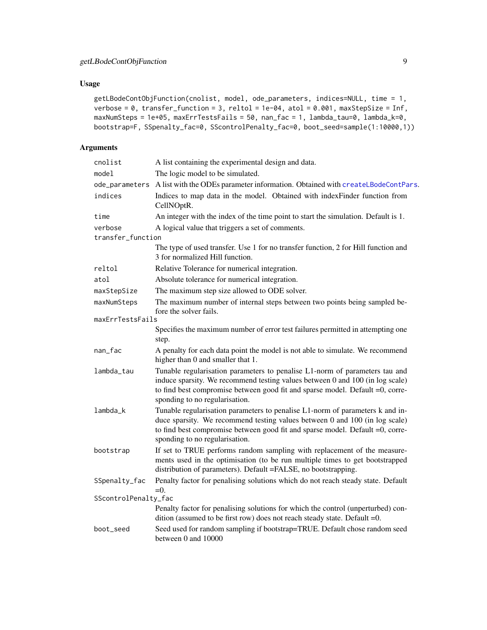#### <span id="page-8-0"></span>Usage

```
getLBodeContObjFunction(cnolist, model, ode_parameters, indices=NULL, time = 1,
verbose = 0, transfer_function = 3, reltol = 1e-04, atol = 0.001, maxStepSize = Inf,
maxNumSteps = 1e+05, maxErrTestsFails = 50, nan_fac = 1, lambda_tau=0, lambda_k=0,
bootstrap=F, SSpenalty_fac=0, SScontrolPenalty_fac=0, boot_seed=sample(1:10000,1))
```

| cnolist              | A list containing the experimental design and data.                                                                                                                                                                                                                             |
|----------------------|---------------------------------------------------------------------------------------------------------------------------------------------------------------------------------------------------------------------------------------------------------------------------------|
| model                | The logic model to be simulated.                                                                                                                                                                                                                                                |
| ode_parameters       | A list with the ODEs parameter information. Obtained with createLBodeContPars.                                                                                                                                                                                                  |
| indices              | Indices to map data in the model. Obtained with indexFinder function from<br>CellNOptR.                                                                                                                                                                                         |
| time                 | An integer with the index of the time point to start the simulation. Default is 1.                                                                                                                                                                                              |
| verbose              | A logical value that triggers a set of comments.                                                                                                                                                                                                                                |
| transfer_function    |                                                                                                                                                                                                                                                                                 |
|                      | The type of used transfer. Use 1 for no transfer function, 2 for Hill function and<br>3 for normalized Hill function.                                                                                                                                                           |
| reltol               | Relative Tolerance for numerical integration.                                                                                                                                                                                                                                   |
| atol                 | Absolute tolerance for numerical integration.                                                                                                                                                                                                                                   |
| maxStepSize          | The maximum step size allowed to ODE solver.                                                                                                                                                                                                                                    |
| maxNumSteps          | The maximum number of internal steps between two points being sampled be-<br>fore the solver fails.                                                                                                                                                                             |
| maxErrTestsFails     |                                                                                                                                                                                                                                                                                 |
|                      | Specifies the maximum number of error test failures permitted in attempting one<br>step.                                                                                                                                                                                        |
| nan_fac              | A penalty for each data point the model is not able to simulate. We recommend<br>higher than 0 and smaller that 1.                                                                                                                                                              |
| lambda_tau           | Tunable regularisation parameters to penalise L1-norm of parameters tau and<br>induce sparsity. We recommend testing values between 0 and 100 (in log scale)<br>to find best compromise between good fit and sparse model. Default =0, corre-<br>sponding to no regularisation. |
| lambda_k             | Tunable regularisation parameters to penalise L1-norm of parameters k and in-<br>duce sparsity. We recommend testing values between 0 and 100 (in log scale)<br>to find best compromise between good fit and sparse model. Default =0, corre-<br>sponding to no regularisation. |
| bootstrap            | If set to TRUE performs random sampling with replacement of the measure-<br>ments used in the optimisation (to be run multiple times to get bootstrapped<br>distribution of parameters). Default =FALSE, no bootstrapping.                                                      |
| SSpenalty_fac        | Penalty factor for penalising solutions which do not reach steady state. Default<br>$=0.$                                                                                                                                                                                       |
| SScontrolPenalty_fac |                                                                                                                                                                                                                                                                                 |
|                      | Penalty factor for penalising solutions for which the control (unperturbed) con-<br>dition (assumed to be first row) does not reach steady state. Default =0.                                                                                                                   |
| boot_seed            | Seed used for random sampling if bootstrap=TRUE. Default chose random seed<br>between 0 and 10000                                                                                                                                                                               |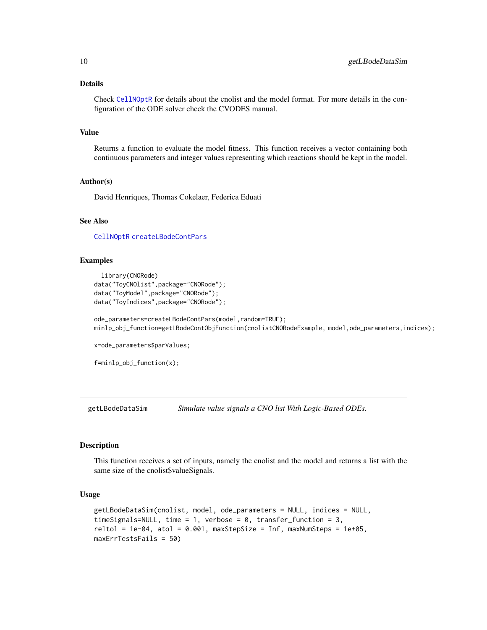#### <span id="page-9-0"></span>Details

Check [CellNOptR](#page-0-0) for details about the cnolist and the model format. For more details in the configuration of the ODE solver check the CVODES manual.

#### Value

Returns a function to evaluate the model fitness. This function receives a vector containing both continuous parameters and integer values representing which reactions should be kept in the model.

#### Author(s)

David Henriques, Thomas Cokelaer, Federica Eduati

#### See Also

[CellNOptR](#page-0-0) [createLBodeContPars](#page-3-1)

#### Examples

```
library(CNORode)
data("ToyCNOlist",package="CNORode");
data("ToyModel",package="CNORode");
data("ToyIndices",package="CNORode");
```
ode\_parameters=createLBodeContPars(model,random=TRUE); minlp\_obj\_function=getLBodeContObjFunction(cnolistCNORodeExample, model,ode\_parameters,indices);

x=ode\_parameters\$parValues;

```
f=minlp_obj_function(x);
```
getLBodeDataSim *Simulate value signals a CNO list With Logic-Based ODEs.*

#### Description

This function receives a set of inputs, namely the cnolist and the model and returns a list with the same size of the cnolist\$valueSignals.

#### Usage

```
getLBodeDataSim(cnolist, model, ode_parameters = NULL, indices = NULL,
timeSignals=NULL, time = 1, verbose = 0, transfer_function = 3,
reltol = 1e-04, atol = 0.001, maxStepSize = Inf, maxNumSteps = 1e+05,
maxErrTestsFails = 50)
```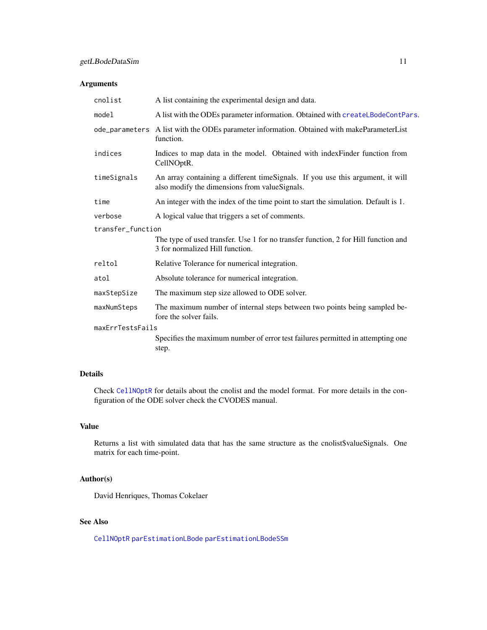#### <span id="page-10-0"></span>Arguments

| cnolist           | A list containing the experimental design and data.                                                                             |  |
|-------------------|---------------------------------------------------------------------------------------------------------------------------------|--|
| model             | A list with the ODEs parameter information. Obtained with createLBodeContPars.                                                  |  |
|                   | ode_parameters A list with the ODEs parameter information. Obtained with makeParameterList<br>function.                         |  |
| indices           | Indices to map data in the model. Obtained with index Finder function from<br>CellNOptR.                                        |  |
| timeSignals       | An array containing a different timeSignals. If you use this argument, it will<br>also modify the dimensions from valueSignals. |  |
| time              | An integer with the index of the time point to start the simulation. Default is 1.                                              |  |
| verbose           | A logical value that triggers a set of comments.                                                                                |  |
| transfer function |                                                                                                                                 |  |
|                   | The type of used transfer. Use 1 for no transfer function, 2 for Hill function and<br>3 for normalized Hill function.           |  |
| reltol            | Relative Tolerance for numerical integration.                                                                                   |  |
| atol              | Absolute tolerance for numerical integration.                                                                                   |  |
| maxStepSize       | The maximum step size allowed to ODE solver.                                                                                    |  |
| maxNumSteps       | The maximum number of internal steps between two points being sampled be-<br>fore the solver fails.                             |  |
| maxErrTestsFails  |                                                                                                                                 |  |
|                   | Specifies the maximum number of error test failures permitted in attempting one<br>step.                                        |  |

#### Details

Check [CellNOptR](#page-0-0) for details about the cnolist and the model format. For more details in the configuration of the ODE solver check the CVODES manual.

#### Value

Returns a list with simulated data that has the same structure as the cnolist\$valueSignals. One matrix for each time-point.

#### Author(s)

David Henriques, Thomas Cokelaer

#### See Also

[CellNOptR](#page-0-0) [parEstimationLBode](#page-19-1) [parEstimationLBodeSSm](#page-23-1)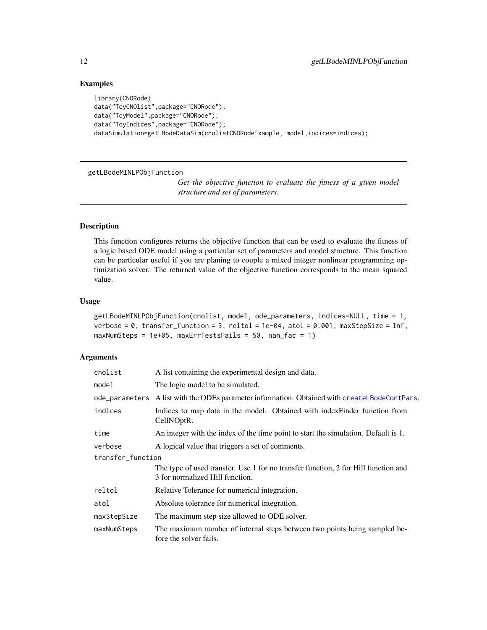#### Examples

```
library(CNORode)
data("ToyCNOlist",package="CNORode");
data("ToyModel",package="CNORode");
data("ToyIndices",package="CNORode");
dataSimulation=getLBodeDataSim(cnolistCNORodeExample, model,indices=indices);
```
<span id="page-11-1"></span>getLBodeMINLPObjFunction

*Get the objective function to evaluate the fitness of a given model structure and set of parameters.*

#### Description

This function configures returns the objective function that can be used to evaluate the fitness of a logic based ODE model using a particular set of parameters and model structure. This function can be particular useful if you are planing to couple a mixed integer nonlinear programming optimization solver. The returned value of the objective function corresponds to the mean squared value.

#### Usage

```
getLBodeMINLPObjFunction(cnolist, model, ode_parameters, indices=NULL, time = 1,
verbose = \theta, transfer_function = 3, reltol = 1e-\theta4, atol = 0.001, maxStepSize = Inf,
maxNumSteps = 1e+05, maxErrTestsFails = 50, nan_fac = 1)
```

| cnolist           | A list containing the experimental design and data.                                                                   |  |
|-------------------|-----------------------------------------------------------------------------------------------------------------------|--|
| model             | The logic model to be simulated.                                                                                      |  |
|                   | ode_parameters A list with the ODEs parameter information. Obtained with createLBodeContPars.                         |  |
| indices           | Indices to map data in the model. Obtained with index Finder function from<br>CellNOptR.                              |  |
| time              | An integer with the index of the time point to start the simulation. Default is 1.                                    |  |
| verbose           | A logical value that triggers a set of comments.                                                                      |  |
| transfer_function |                                                                                                                       |  |
|                   | The type of used transfer. Use 1 for no transfer function, 2 for Hill function and<br>3 for normalized Hill function. |  |
| reltol            | Relative Tolerance for numerical integration.                                                                         |  |
| atol              | Absolute tolerance for numerical integration.                                                                         |  |
| maxStepSize       | The maximum step size allowed to ODE solver.                                                                          |  |
| maxNumSteps       | The maximum number of internal steps between two points being sampled be-<br>fore the solver fails.                   |  |

<span id="page-11-0"></span>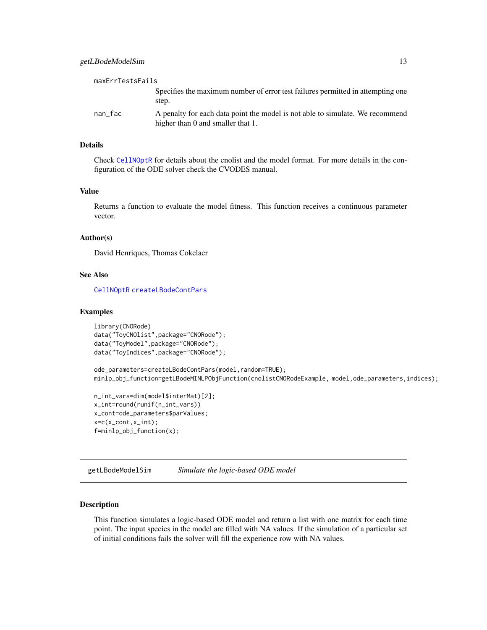<span id="page-12-0"></span>

| maxErrTestsFails |                                                                                                                    |
|------------------|--------------------------------------------------------------------------------------------------------------------|
|                  | Specifies the maximum number of error test failures permitted in attempting one<br>step.                           |
| nan fac          | A penalty for each data point the model is not able to simulate. We recommend<br>higher than 0 and smaller that 1. |

#### Details

Check [CellNOptR](#page-0-0) for details about the cnolist and the model format. For more details in the configuration of the ODE solver check the CVODES manual.

#### Value

Returns a function to evaluate the model fitness. This function receives a continuous parameter vector.

#### Author(s)

David Henriques, Thomas Cokelaer

#### See Also

[CellNOptR](#page-0-0) [createLBodeContPars](#page-3-1)

#### Examples

```
library(CNORode)
data("ToyCNOlist",package="CNORode");
data("ToyModel",package="CNORode");
data("ToyIndices",package="CNORode");
```
ode\_parameters=createLBodeContPars(model,random=TRUE); minlp\_obj\_function=getLBodeMINLPObjFunction(cnolistCNORodeExample, model,ode\_parameters,indices);

```
n_int_vars=dim(model$interMat)[2];
x_int=round(runif(n_int_vars))
x_cont=ode_parameters$parValues;
x=c(x_count,x_info);f=minlp_obj_function(x);
```
<span id="page-12-1"></span>getLBodeModelSim *Simulate the logic-based ODE model*

#### Description

This function simulates a logic-based ODE model and return a list with one matrix for each time point. The input species in the model are filled with NA values. If the simulation of a particular set of initial conditions fails the solver will fill the experience row with NA values.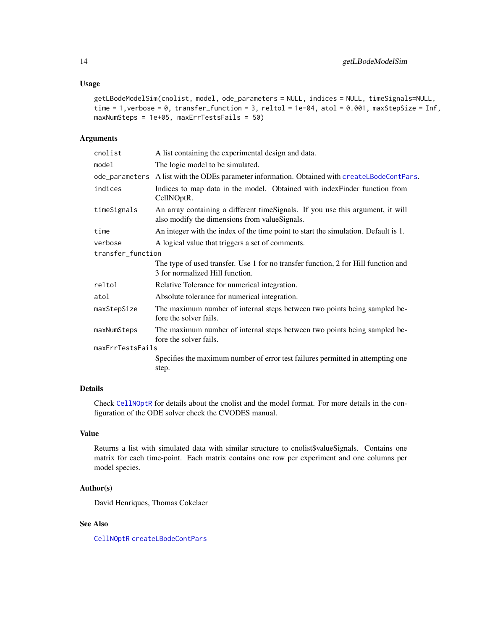#### <span id="page-13-0"></span>Usage

```
getLBodeModelSim(cnolist, model, ode_parameters = NULL, indices = NULL, timeSignals=NULL,
time = 1, verbose = 0, transfer_function = 3, reltol = 1e-04, atol = 0.001, maxStepSize = Inf,
maxNumSteps = 1e+05, maxErrTestsFails = 50)
```
#### Arguments

| cnolist           | A list containing the experimental design and data.                                                                             |
|-------------------|---------------------------------------------------------------------------------------------------------------------------------|
| model             | The logic model to be simulated.                                                                                                |
|                   | ode_parameters A list with the ODEs parameter information. Obtained with createLBodeContPars.                                   |
| indices           | Indices to map data in the model. Obtained with indexFinder function from<br>CellNOptR.                                         |
| timeSignals       | An array containing a different timeSignals. If you use this argument, it will<br>also modify the dimensions from valueSignals. |
| time              | An integer with the index of the time point to start the simulation. Default is 1.                                              |
| verbose           | A logical value that triggers a set of comments.                                                                                |
| transfer_function |                                                                                                                                 |
|                   | The type of used transfer. Use 1 for no transfer function, 2 for Hill function and<br>3 for normalized Hill function.           |
| reltol            | Relative Tolerance for numerical integration.                                                                                   |
| atol              | Absolute tolerance for numerical integration.                                                                                   |
| maxStepSize       | The maximum number of internal steps between two points being sampled be-<br>fore the solver fails.                             |
| maxNumSteps       | The maximum number of internal steps between two points being sampled be-<br>fore the solver fails.                             |
| maxErrTestsFails  |                                                                                                                                 |
|                   | Specifies the maximum number of error test failures permitted in attempting one<br>step.                                        |
|                   |                                                                                                                                 |

#### Details

Check [CellNOptR](#page-0-0) for details about the cnolist and the model format. For more details in the configuration of the ODE solver check the CVODES manual.

#### Value

Returns a list with simulated data with similar structure to cnolist\$valueSignals. Contains one matrix for each time-point. Each matrix contains one row per experiment and one columns per model species.

#### Author(s)

David Henriques, Thomas Cokelaer

#### See Also

[CellNOptR](#page-0-0) [createLBodeContPars](#page-3-1)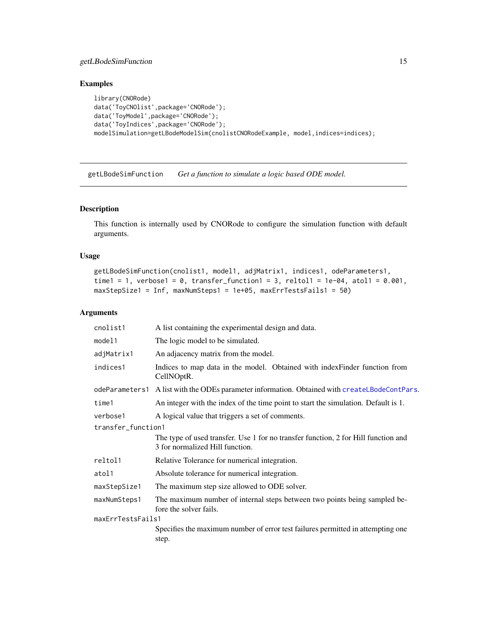#### <span id="page-14-0"></span>getLBodeSimFunction 15

#### Examples

```
library(CNORode)
data('ToyCNOlist',package='CNORode');
data('ToyModel',package='CNORode');
data('ToyIndices',package='CNORode');
modelSimulation=getLBodeModelSim(cnolistCNORodeExample, model,indices=indices);
```
getLBodeSimFunction *Get a function to simulate a logic based ODE model.*

#### Description

This function is internally used by CNORode to configure the simulation function with default arguments.

#### Usage

```
getLBodeSimFunction(cnolist1, model1, adjMatrix1, indices1, odeParameters1,
time1 = 1, verbose1 = 0, transfer_function1 = 3, reltol1 = 1e-04, atol1 = 0.001,
maxStepSize1 = Inf, maxNumSteps1 = 1e+05, maxErrTestsFails1 = 50)
```

| cnolist1           | A list containing the experimental design and data.                                                                   |  |
|--------------------|-----------------------------------------------------------------------------------------------------------------------|--|
| model1             | The logic model to be simulated.                                                                                      |  |
| adjMatrix1         | An adjacency matrix from the model.                                                                                   |  |
| indices1           | Indices to map data in the model. Obtained with indexFinder function from<br>CellNOptR.                               |  |
| odeParameters1     | A list with the ODEs parameter information. Obtained with createLBodeContPars.                                        |  |
| time1              | An integer with the index of the time point to start the simulation. Default is 1.                                    |  |
| verbose1           | A logical value that triggers a set of comments.                                                                      |  |
| transfer_function1 |                                                                                                                       |  |
|                    | The type of used transfer. Use 1 for no transfer function, 2 for Hill function and<br>3 for normalized Hill function. |  |
| reltol1            | Relative Tolerance for numerical integration.                                                                         |  |
| atol1              | Absolute tolerance for numerical integration.                                                                         |  |
| maxStepSize1       | The maximum step size allowed to ODE solver.                                                                          |  |
| maxNumSteps1       | The maximum number of internal steps between two points being sampled be-<br>fore the solver fails.                   |  |
| maxErrTestsFails1  |                                                                                                                       |  |
|                    | Specifies the maximum number of error test failures permitted in attempting one<br>step.                              |  |
|                    |                                                                                                                       |  |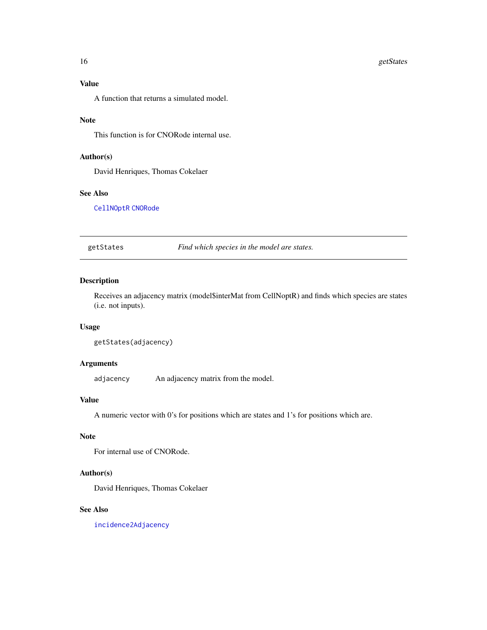#### <span id="page-15-0"></span>Value

A function that returns a simulated model.

#### Note

This function is for CNORode internal use.

#### Author(s)

David Henriques, Thomas Cokelaer

#### See Also

[CellNOptR](#page-0-0) [CNORode](#page-2-1)

getStates *Find which species in the model are states.*

#### Description

Receives an adjacency matrix (model\$interMat from CellNoptR) and finds which species are states (i.e. not inputs).

#### Usage

getStates(adjacency)

#### Arguments

adjacency An adjacency matrix from the model.

#### Value

A numeric vector with 0's for positions which are states and 1's for positions which are.

#### Note

For internal use of CNORode.

#### Author(s)

David Henriques, Thomas Cokelaer

#### See Also

[incidence2Adjacency](#page-16-1)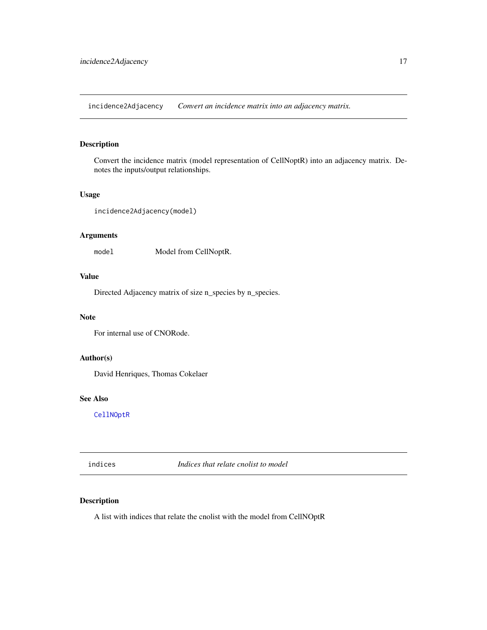<span id="page-16-1"></span><span id="page-16-0"></span>incidence2Adjacency *Convert an incidence matrix into an adjacency matrix.*

#### Description

Convert the incidence matrix (model representation of CellNoptR) into an adjacency matrix. Denotes the inputs/output relationships.

#### Usage

incidence2Adjacency(model)

#### Arguments

model Model from CellNoptR.

#### Value

Directed Adjacency matrix of size n\_species by n\_species.

#### Note

For internal use of CNORode.

#### Author(s)

David Henriques, Thomas Cokelaer

#### See Also

[CellNOptR](#page-0-0)

indices *Indices that relate cnolist to model*

#### Description

A list with indices that relate the cnolist with the model from CellNOptR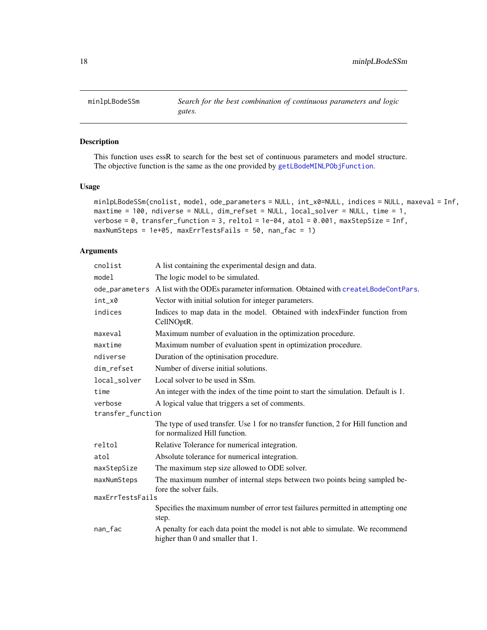<span id="page-17-0"></span>

#### Description

This function uses essR to search for the best set of continuous parameters and model structure. The objective function is the same as the one provided by [getLBodeMINLPObjFunction](#page-11-1).

#### Usage

```
minlpLBodeSSm(cnolist, model, ode_parameters = NULL, int_x0=NULL, indices = NULL, maxeval = Inf,
maxtime = 100, ndiverse = NULL, dim_refset = NULL, local_solver = NULL, time = 1,
verbose = 0, transfer_function = 3, reltol = 1e-04, atol = 0.001, maxStepSize = Inf,
maxNumSteps = 1e+05, maxErrTestsFails = 50, nan_fac = 1)
```

| cnolist           | A list containing the experimental design and data.                                                                 |
|-------------------|---------------------------------------------------------------------------------------------------------------------|
| model             | The logic model to be simulated.                                                                                    |
| ode_parameters    | A list with the ODEs parameter information. Obtained with createLBodeContPars.                                      |
| int_x0            | Vector with initial solution for integer parameters.                                                                |
| indices           | Indices to map data in the model. Obtained with indexFinder function from<br>CellNOptR.                             |
| maxeval           | Maximum number of evaluation in the optimization procedure.                                                         |
| maxtime           | Maximum number of evaluation spent in optimization procedure.                                                       |
| ndiverse          | Duration of the optinisation procedure.                                                                             |
| dim refset        | Number of diverse initial solutions.                                                                                |
| local_solver      | Local solver to be used in SSm.                                                                                     |
| time              | An integer with the index of the time point to start the simulation. Default is 1.                                  |
| verbose           | A logical value that triggers a set of comments.                                                                    |
| transfer function |                                                                                                                     |
|                   | The type of used transfer. Use 1 for no transfer function, 2 for Hill function and<br>for normalized Hill function. |
| reltol            | Relative Tolerance for numerical integration.                                                                       |
| atol              | Absolute tolerance for numerical integration.                                                                       |
| maxStepSize       | The maximum step size allowed to ODE solver.                                                                        |
| maxNumSteps       | The maximum number of internal steps between two points being sampled be-<br>fore the solver fails.                 |
| maxErrTestsFails  |                                                                                                                     |
|                   | Specifies the maximum number of error test failures permitted in attempting one<br>step.                            |
| nan_fac           | A penalty for each data point the model is not able to simulate. We recommend<br>higher than 0 and smaller that 1.  |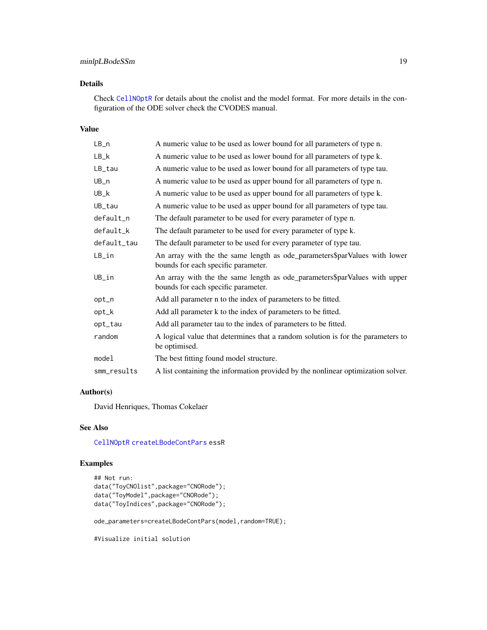#### <span id="page-18-0"></span>minlpLBodeSSm 19

#### Details

Check [CellNOptR](#page-0-0) for details about the cnolist and the model format. For more details in the configuration of the ODE solver check the CVODES manual.

#### Value

| LB_n        | A numeric value to be used as lower bound for all parameters of type n.                                          |
|-------------|------------------------------------------------------------------------------------------------------------------|
| $LB_k$      | A numeric value to be used as lower bound for all parameters of type k.                                          |
| LB_tau      | A numeric value to be used as lower bound for all parameters of type tau.                                        |
| UB_n        | A numeric value to be used as upper bound for all parameters of type n.                                          |
| UB_k        | A numeric value to be used as upper bound for all parameters of type k.                                          |
| UB_tau      | A numeric value to be used as upper bound for all parameters of type tau.                                        |
| default_n   | The default parameter to be used for every parameter of type n.                                                  |
| default_k   | The default parameter to be used for every parameter of type k.                                                  |
| default_tau | The default parameter to be used for every parameter of type tau.                                                |
| LB_in       | An array with the the same length as ode_parameters\$parValues with lower<br>bounds for each specific parameter. |
| UB_in       | An array with the the same length as ode_parameters\$parValues with upper<br>bounds for each specific parameter. |
| opt_n       | Add all parameter n to the index of parameters to be fitted.                                                     |
| opt_k       | Add all parameter k to the index of parameters to be fitted.                                                     |
| opt_tau     | Add all parameter tau to the index of parameters to be fitted.                                                   |
| random      | A logical value that determines that a random solution is for the parameters to<br>be optimised.                 |
| model       | The best fitting found model structure.                                                                          |
| smm_results | A list containing the information provided by the nonlinear optimization solver.                                 |

#### Author(s)

David Henriques, Thomas Cokelaer

#### See Also

[CellNOptR](#page-0-0) [createLBodeContPars](#page-3-1) essR

#### Examples

```
## Not run:
data("ToyCNOlist",package="CNORode");
data("ToyModel",package="CNORode");
data("ToyIndices",package="CNORode");
```
ode\_parameters=createLBodeContPars(model,random=TRUE);

#Visualize initial solution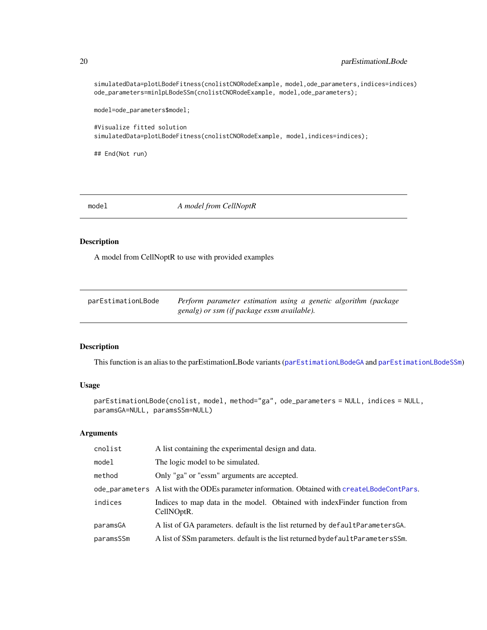simulatedData=plotLBodeFitness(cnolistCNORodeExample, model,ode\_parameters,indices=indices) ode\_parameters=minlpLBodeSSm(cnolistCNORodeExample, model,ode\_parameters);

model=ode\_parameters\$model;

#Visualize fitted solution simulatedData=plotLBodeFitness(cnolistCNORodeExample, model,indices=indices);

## End(Not run)

model *A model from CellNoptR*

#### Description

A model from CellNoptR to use with provided examples

<span id="page-19-1"></span>

| parEstimationLBode | Perform parameter estimation using a genetic algorithm (package |
|--------------------|-----------------------------------------------------------------|
|                    | genalg) or ssm (if package essm available).                     |

#### Description

This function is an alias to the parEstimationLBode variants ([parEstimationLBodeGA](#page-21-1) and [parEstimationLBodeSSm](#page-23-1))

#### Usage

```
parEstimationLBode(cnolist, model, method="ga", ode_parameters = NULL, indices = NULL,
paramsGA=NULL, paramsSSm=NULL)
```

| cnolist   | A list containing the experimental design and data.                                            |
|-----------|------------------------------------------------------------------------------------------------|
| model     | The logic model to be simulated.                                                               |
| method    | Only "ga" or "essm" arguments are accepted.                                                    |
|           | ode_parameters A list with the ODEs parameter information. Obtained with createl BodeContPars. |
| indices   | Indices to map data in the model. Obtained with index Finder function from<br>CellNOptR.       |
| paramsGA  | A list of GA parameters. default is the list returned by default Parameters GA.                |
| paramsSSm | A list of SSm parameters. default is the list returned by default Parameters SSm.              |

<span id="page-19-0"></span>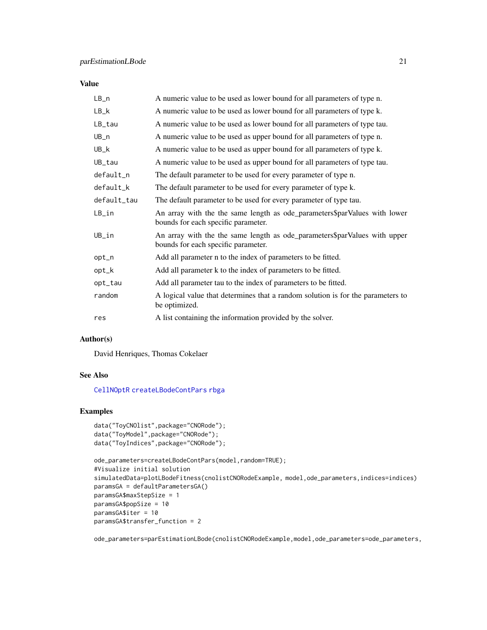#### <span id="page-20-0"></span>Value

| $LB_n$      | A numeric value to be used as lower bound for all parameters of type n.                                          |
|-------------|------------------------------------------------------------------------------------------------------------------|
| $LB_k$      | A numeric value to be used as lower bound for all parameters of type k.                                          |
| LB_tau      | A numeric value to be used as lower bound for all parameters of type tau.                                        |
| $UB_n$      | A numeric value to be used as upper bound for all parameters of type n.                                          |
| $UB_k$      | A numeric value to be used as upper bound for all parameters of type k.                                          |
| UB_tau      | A numeric value to be used as upper bound for all parameters of type tau.                                        |
| default_n   | The default parameter to be used for every parameter of type n.                                                  |
| default_k   | The default parameter to be used for every parameter of type k.                                                  |
| default_tau | The default parameter to be used for every parameter of type tau.                                                |
| $LB_in$     | An array with the the same length as ode_parameters\$parValues with lower<br>bounds for each specific parameter. |
| $UB_in$     | An array with the the same length as ode_parameters\$parValues with upper<br>bounds for each specific parameter. |
| opt_n       | Add all parameter n to the index of parameters to be fitted.                                                     |
| opt_k       | Add all parameter k to the index of parameters to be fitted.                                                     |
| opt_tau     | Add all parameter tau to the index of parameters to be fitted.                                                   |
| random      | A logical value that determines that a random solution is for the parameters to<br>be optimized.                 |
| res         | A list containing the information provided by the solver.                                                        |

#### Author(s)

David Henriques, Thomas Cokelaer

#### See Also

[CellNOptR](#page-0-0) [createLBodeContPars](#page-3-1) [rbga](#page-0-0)

#### Examples

```
data("ToyCNOlist",package="CNORode");
data("ToyModel",package="CNORode");
data("ToyIndices",package="CNORode");
```

```
ode_parameters=createLBodeContPars(model,random=TRUE);
#Visualize initial solution
simulatedData=plotLBodeFitness(cnolistCNORodeExample, model,ode_parameters,indices=indices)
paramsGA = defaultParametersGA()
paramsGA$maxStepSize = 1
paramsGA$popSize = 10
paramsGA$iter = 10
paramsGA$transfer_function = 2
```
ode\_parameters=parEstimationLBode(cnolistCNORodeExample,model,ode\_parameters=ode\_parameters,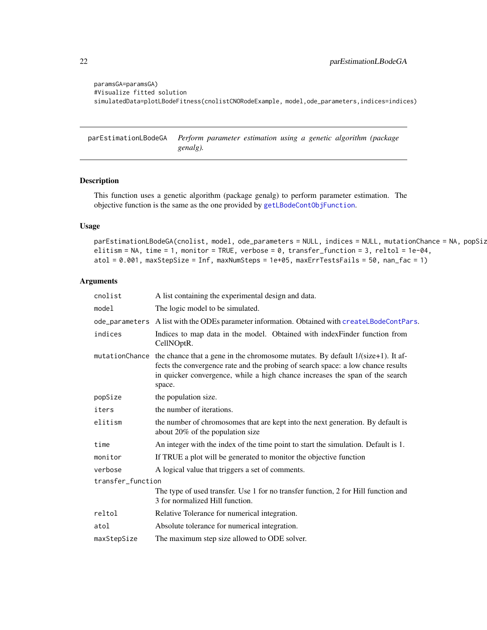```
paramsGA=paramsGA)
#Visualize fitted solution
simulatedData=plotLBodeFitness(cnolistCNORodeExample, model,ode_parameters,indices=indices)
```
<span id="page-21-1"></span>parEstimationLBodeGA *Perform parameter estimation using a genetic algorithm (package genalg).*

#### Description

This function uses a genetic algorithm (package genalg) to perform parameter estimation. The objective function is the same as the one provided by [getLBodeContObjFunction](#page-7-1).

#### Usage

```
parEstimationLBodeGA(cnolist, model, ode_parameters = NULL, indices = NULL, mutationChance = NA, popSiz
elitism = NA, time = 1, monitor = TRUE, verbose = 0, transfer_function = 3, reltol = 1e-04,
atol = 0.001, maxStepSize = Inf, maxNumSteps = 1e+05, maxErrTestsFails = 50, nan_fac = 1)
```

| cnolist           | A list containing the experimental design and data.                                                                                                                                                                                                              |
|-------------------|------------------------------------------------------------------------------------------------------------------------------------------------------------------------------------------------------------------------------------------------------------------|
| model             | The logic model to be simulated.                                                                                                                                                                                                                                 |
|                   | ode_parameters A list with the ODEs parameter information. Obtained with createLBodeContPars.                                                                                                                                                                    |
| indices           | Indices to map data in the model. Obtained with indexFinder function from<br>CellNOptR.                                                                                                                                                                          |
| mutationChance    | the chance that a gene in the chromosome mutates. By default $1/(size+1)$ . It af-<br>fects the convergence rate and the probing of search space: a low chance results<br>in quicker convergence, while a high chance increases the span of the search<br>space. |
| popSize           | the population size.                                                                                                                                                                                                                                             |
| iters             | the number of iterations.                                                                                                                                                                                                                                        |
| elitism           | the number of chromosomes that are kept into the next generation. By default is<br>about 20% of the population size                                                                                                                                              |
| time              | An integer with the index of the time point to start the simulation. Default is 1.                                                                                                                                                                               |
| monitor           | If TRUE a plot will be generated to monitor the objective function                                                                                                                                                                                               |
| verbose           | A logical value that triggers a set of comments.                                                                                                                                                                                                                 |
| transfer function |                                                                                                                                                                                                                                                                  |
|                   | The type of used transfer. Use 1 for no transfer function, 2 for Hill function and<br>3 for normalized Hill function.                                                                                                                                            |
| reltol            | Relative Tolerance for numerical integration.                                                                                                                                                                                                                    |
| atol              | Absolute tolerance for numerical integration.                                                                                                                                                                                                                    |
| maxStepSize       | The maximum step size allowed to ODE solver.                                                                                                                                                                                                                     |
|                   |                                                                                                                                                                                                                                                                  |

<span id="page-21-0"></span>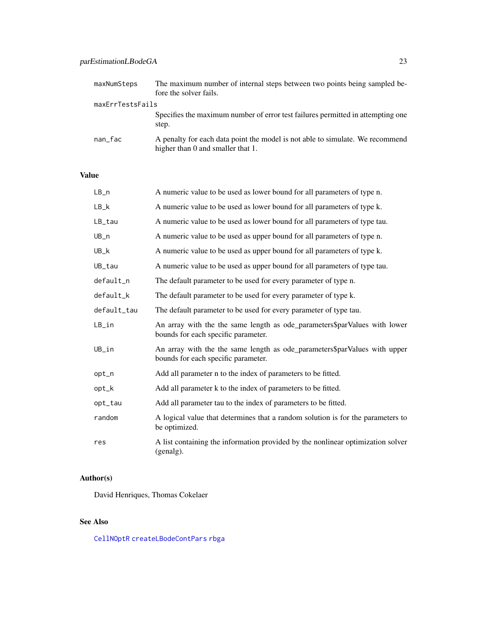#### <span id="page-22-0"></span>parEstimationLBodeGA 23

| maxNumSteps      | The maximum number of internal steps between two points being sampled be-<br>fore the solver fails.                |
|------------------|--------------------------------------------------------------------------------------------------------------------|
| maxErrTestsFails |                                                                                                                    |
|                  | Specifies the maximum number of error test failures permitted in attempting one<br>step.                           |
| nan_fac          | A penalty for each data point the model is not able to simulate. We recommend<br>higher than 0 and smaller that 1. |

#### Value

| $LB_n$      | A numeric value to be used as lower bound for all parameters of type n.                                          |
|-------------|------------------------------------------------------------------------------------------------------------------|
| $LB_k$      | A numeric value to be used as lower bound for all parameters of type k.                                          |
| LB_tau      | A numeric value to be used as lower bound for all parameters of type tau.                                        |
| $UB_n$      | A numeric value to be used as upper bound for all parameters of type n.                                          |
| UB_k        | A numeric value to be used as upper bound for all parameters of type k.                                          |
| UB_tau      | A numeric value to be used as upper bound for all parameters of type tau.                                        |
| default_n   | The default parameter to be used for every parameter of type n.                                                  |
| default_k   | The default parameter to be used for every parameter of type k.                                                  |
| default_tau | The default parameter to be used for every parameter of type tau.                                                |
| $LB_in$     | An array with the the same length as ode_parameters\$parValues with lower<br>bounds for each specific parameter. |
| UB_in       | An array with the the same length as ode_parameters\$parValues with upper<br>bounds for each specific parameter. |
| opt_n       | Add all parameter n to the index of parameters to be fitted.                                                     |
| opt_k       | Add all parameter k to the index of parameters to be fitted.                                                     |
| opt_tau     | Add all parameter tau to the index of parameters to be fitted.                                                   |
| random      | A logical value that determines that a random solution is for the parameters to<br>be optimized.                 |
| res         | A list containing the information provided by the nonlinear optimization solver<br>(genalg).                     |

#### Author(s)

David Henriques, Thomas Cokelaer

#### See Also

[CellNOptR](#page-0-0) [createLBodeContPars](#page-3-1) [rbga](#page-0-0)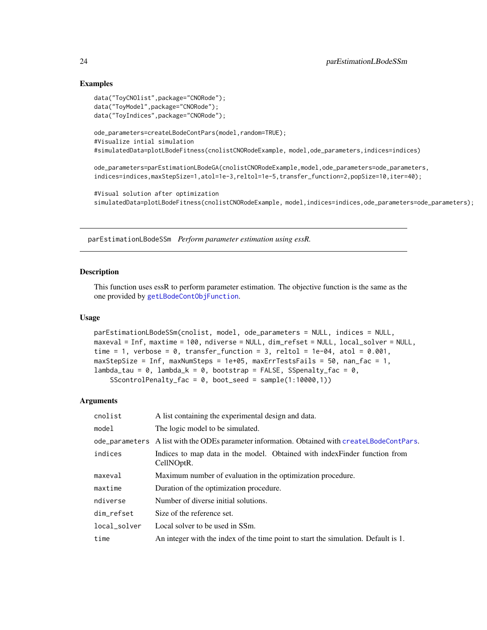#### Examples

```
data("ToyCNOlist",package="CNORode");
data("ToyModel",package="CNORode");
data("ToyIndices",package="CNORode");
ode_parameters=createLBodeContPars(model,random=TRUE);
#Visualize intial simulation
#simulatedData=plotLBodeFitness(cnolistCNORodeExample, model,ode_parameters,indices=indices)
ode_parameters=parEstimationLBodeGA(cnolistCNORodeExample,model,ode_parameters=ode_parameters,
indices=indices,maxStepSize=1,atol=1e-3,reltol=1e-5,transfer_function=2,popSize=10,iter=40);
#Visual solution after optimization
```
simulatedData=plotLBodeFitness(cnolistCNORodeExample, model,indices=indices,ode\_parameters=ode\_parameters);

<span id="page-23-1"></span>parEstimationLBodeSSm *Perform parameter estimation using essR.*

#### Description

This function uses essR to perform parameter estimation. The objective function is the same as the one provided by [getLBodeContObjFunction](#page-7-1).

#### Usage

```
parEstimationLBodeSSm(cnolist, model, ode_parameters = NULL, indices = NULL,
maxeval = Inf, maxtime = 100, ndiverse = NULL, dim_refset = NULL, local_solver = NULL,
time = 1, verbose = \theta, transfer_function = 3, reltol = 1e-04, atol = \theta.001,
maxStepSize = Inf, maxNumSteps = 1e+05, maxErrTestsFails = 50, nan_fac = 1,
lambda_t = 0, lambda_k = 0, break_k = 0, bootstrap = FALSE, SSScontrolPenalty_fac = 0, boot_seed = sample(1:10000,1))
```

| A list containing the experimental design and data.                                           |
|-----------------------------------------------------------------------------------------------|
| The logic model to be simulated.                                                              |
| ode_parameters A list with the ODEs parameter information. Obtained with createLBodeContPars. |
| Indices to map data in the model. Obtained with index Finder function from<br>CellNOptR.      |
| Maximum number of evaluation in the optimization procedure.                                   |
| Duration of the optimization procedure.                                                       |
| Number of diverse initial solutions.                                                          |
| Size of the reference set.                                                                    |
| Local solver to be used in SSm.                                                               |
| An integer with the index of the time point to start the simulation. Default is 1.            |
|                                                                                               |

<span id="page-23-0"></span>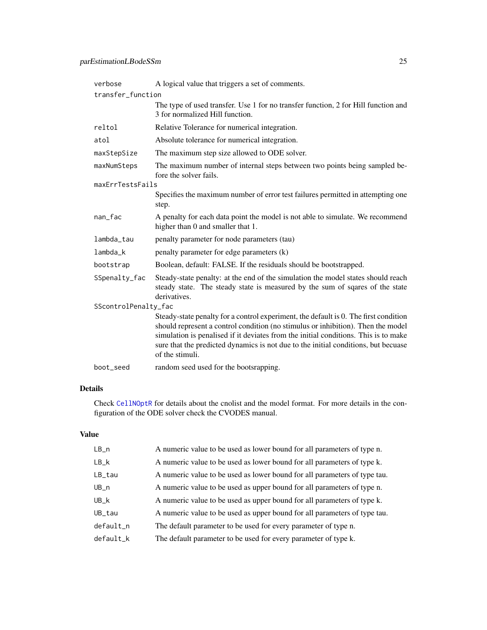<span id="page-24-0"></span>

| verbose              | A logical value that triggers a set of comments.                                                                                                                                                                                                                                                                                                                         |  |
|----------------------|--------------------------------------------------------------------------------------------------------------------------------------------------------------------------------------------------------------------------------------------------------------------------------------------------------------------------------------------------------------------------|--|
| transfer_function    |                                                                                                                                                                                                                                                                                                                                                                          |  |
|                      | The type of used transfer. Use 1 for no transfer function, 2 for Hill function and<br>3 for normalized Hill function.                                                                                                                                                                                                                                                    |  |
| reltol               | Relative Tolerance for numerical integration.                                                                                                                                                                                                                                                                                                                            |  |
| atol                 | Absolute tolerance for numerical integration.                                                                                                                                                                                                                                                                                                                            |  |
| maxStepSize          | The maximum step size allowed to ODE solver.                                                                                                                                                                                                                                                                                                                             |  |
| maxNumSteps          | The maximum number of internal steps between two points being sampled be-<br>fore the solver fails.                                                                                                                                                                                                                                                                      |  |
| maxErrTestsFails     |                                                                                                                                                                                                                                                                                                                                                                          |  |
|                      | Specifies the maximum number of error test failures permitted in attempting one<br>step.                                                                                                                                                                                                                                                                                 |  |
| nan_fac              | A penalty for each data point the model is not able to simulate. We recommend<br>higher than 0 and smaller that 1.                                                                                                                                                                                                                                                       |  |
| lambda_tau           | penalty parameter for node parameters (tau)                                                                                                                                                                                                                                                                                                                              |  |
| lambda_k             | penalty parameter for edge parameters (k)                                                                                                                                                                                                                                                                                                                                |  |
| bootstrap            | Boolean, default: FALSE. If the residuals should be bootstrapped.                                                                                                                                                                                                                                                                                                        |  |
| SSpenalty_fac        | Steady-state penalty: at the end of the simulation the model states should reach<br>steady state. The steady state is measured by the sum of sqares of the state<br>derivatives.                                                                                                                                                                                         |  |
| SScontrolPenalty_fac |                                                                                                                                                                                                                                                                                                                                                                          |  |
|                      | Steady-state penalty for a control experiment, the default is 0. The first condition<br>should represent a control condition (no stimulus or inhibition). Then the model<br>simulation is penalised if it deviates from the initial conditions. This is to make<br>sure that the predicted dynamics is not due to the initial conditions, but becuase<br>of the stimuli. |  |
| boot_seed            | random seed used for the bootsrapping.                                                                                                                                                                                                                                                                                                                                   |  |

#### Details

Check [CellNOptR](#page-0-0) for details about the cnolist and the model format. For more details in the configuration of the ODE solver check the CVODES manual.

#### Value

| $LB_n$                | A numeric value to be used as lower bound for all parameters of type n.   |
|-----------------------|---------------------------------------------------------------------------|
| $LB_k$                | A numeric value to be used as lower bound for all parameters of type k.   |
| $LB$ <sub>_</sub> tau | A numeric value to be used as lower bound for all parameters of type tau. |
| $UB_n$                | A numeric value to be used as upper bound for all parameters of type n.   |
| $UB_k$                | A numeric value to be used as upper bound for all parameters of type k.   |
| UB_tau                | A numeric value to be used as upper bound for all parameters of type tau. |
| default_n             | The default parameter to be used for every parameter of type n.           |
| default_k             | The default parameter to be used for every parameter of type k.           |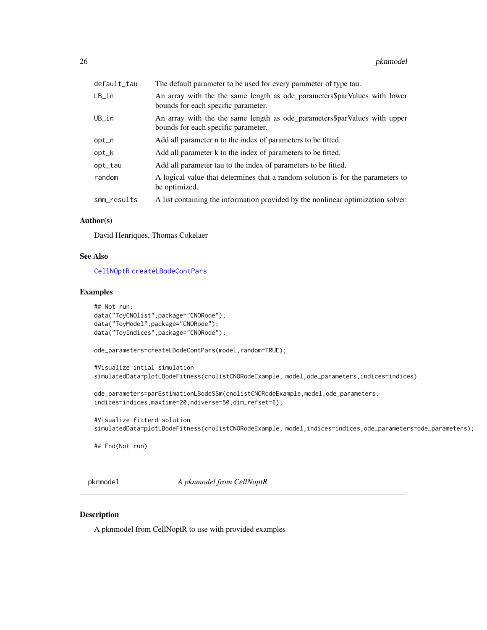<span id="page-25-0"></span>

| default_tau | The default parameter to be used for every parameter of type tau.                                                |
|-------------|------------------------------------------------------------------------------------------------------------------|
| LB_in       | An array with the the same length as ode_parameters\$parValues with lower<br>bounds for each specific parameter. |
| UB_in       | An array with the the same length as ode_parameters\$parValues with upper<br>bounds for each specific parameter. |
| opt_n       | Add all parameter n to the index of parameters to be fitted.                                                     |
| opt_k       | Add all parameter k to the index of parameters to be fitted.                                                     |
| opt_tau     | Add all parameter tau to the index of parameters to be fitted.                                                   |
| random      | A logical value that determines that a random solution is for the parameters to<br>be optimized.                 |
| smm_results | A list containing the information provided by the nonlinear optimization solver.                                 |

#### Author(s)

David Henriques, Thomas Cokelaer

#### See Also

[CellNOptR](#page-0-0) [createLBodeContPars](#page-3-1)

#### Examples

```
## Not run:
data("ToyCNOlist",package="CNORode");
data("ToyModel",package="CNORode");
data("ToyIndices",package="CNORode");
ode_parameters=createLBodeContPars(model,random=TRUE);
#Visualize intial simulation
simulatedData=plotLBodeFitness(cnolistCNORodeExample, model,ode_parameters,indices=indices)
ode_parameters=parEstimationLBodeSSm(cnolistCNORodeExample,model,ode_parameters,
indices=indices,maxtime=20,ndiverse=50,dim_refset=6);
#Visualize fitterd solution
simulatedData=plotLBodeFitness(cnolistCNORodeExample, model,indices=indices,ode_parameters=ode_parameters);
## End(Not run)
```
pknmodel *A pknmodel from CellNoptR*

#### Description

A pknmodel from CellNoptR to use with provided examples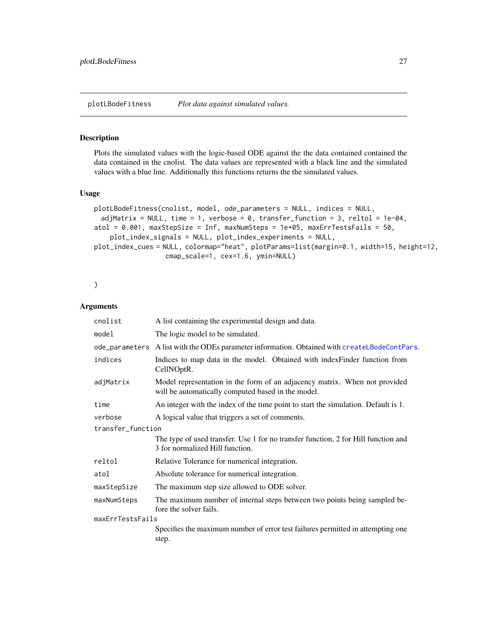<span id="page-26-1"></span><span id="page-26-0"></span>plotLBodeFitness *Plot data against simulated values.*

#### Description

Plots the simulated values with the logic-based ODE against the the data contained contained the data contained in the cnolist. The data values are represented with a black line and the simulated values with a blue line. Additionally this functions returns the the simulated values.

#### Usage

```
plotLBodeFitness(cnolist, model, ode_parameters = NULL, indices = NULL,
 adjMatrix = NULL, time = 1, verbose = 0, transfer_function = 3, reltol = 1e-04,
atol = 0.001, maxStepSize = Inf, maxNumSteps = 1e+05, maxErrTestsFails = 50,
    plot_index_signals = NULL, plot_index_experiments = NULL,
plot_index_cues = NULL, colormap="heat", plotParams=list(margin=0.1, width=15, height=12,
                  cmap_scale=1, cex=1.6, ymin=NULL)
```
#### )

| A list containing the experimental design and data.                                                                              |  |
|----------------------------------------------------------------------------------------------------------------------------------|--|
| The logic model to be simulated.                                                                                                 |  |
| ode_parameters A list with the ODEs parameter information. Obtained with createLBodeContPars.                                    |  |
| Indices to map data in the model. Obtained with index Finder function from<br>CellNOptR.                                         |  |
| Model representation in the form of an adjacency matrix. When not provided<br>will be automatically computed based in the model. |  |
| An integer with the index of the time point to start the simulation. Default is 1.                                               |  |
| A logical value that triggers a set of comments.                                                                                 |  |
| transfer_function                                                                                                                |  |
| The type of used transfer. Use 1 for no transfer function, 2 for Hill function and<br>3 for normalized Hill function.            |  |
| Relative Tolerance for numerical integration.                                                                                    |  |
| Absolute tolerance for numerical integration.                                                                                    |  |
| The maximum step size allowed to ODE solver.                                                                                     |  |
| The maximum number of internal steps between two points being sampled be-<br>fore the solver fails.                              |  |
| maxErrTestsFails                                                                                                                 |  |
| Specifies the maximum number of error test failures permitted in attempting one<br>step.                                         |  |
|                                                                                                                                  |  |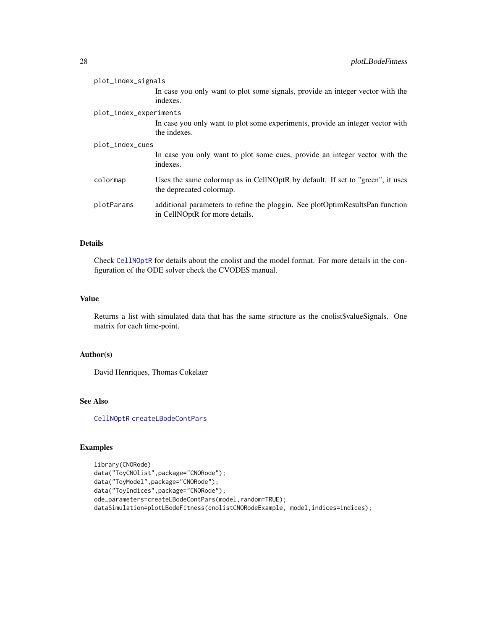<span id="page-27-0"></span>

| plot_index_signals     |            |                                                                                                                 |
|------------------------|------------|-----------------------------------------------------------------------------------------------------------------|
|                        |            | In case you only want to plot some signals, provide an integer vector with the<br>indexes.                      |
| plot_index_experiments |            |                                                                                                                 |
|                        |            | In case you only want to plot some experiments, provide an integer vector with<br>the indexes.                  |
| plot_index_cues        |            |                                                                                                                 |
|                        |            | In case you only want to plot some cues, provide an integer vector with the<br>indexes.                         |
|                        | colormap   | Uses the same colormap as in CellNOptR by default. If set to "green", it uses<br>the deprecated colormap.       |
|                        | plotParams | additional parameters to refine the ploggin. See plotOptimResultsPan function<br>in CellNOptR for more details. |

#### Details

Check [CellNOptR](#page-0-0) for details about the cnolist and the model format. For more details in the configuration of the ODE solver check the CVODES manual.

#### Value

Returns a list with simulated data that has the same structure as the cnolist\$valueSignals. One matrix for each time-point.

#### Author(s)

David Henriques, Thomas Cokelaer

#### See Also

[CellNOptR](#page-0-0) [createLBodeContPars](#page-3-1)

#### Examples

```
library(CNORode)
data("ToyCNOlist",package="CNORode");
data("ToyModel",package="CNORode");
data("ToyIndices",package="CNORode");
ode_parameters=createLBodeContPars(model,random=TRUE);
dataSimulation=plotLBodeFitness(cnolistCNORodeExample, model,indices=indices);
```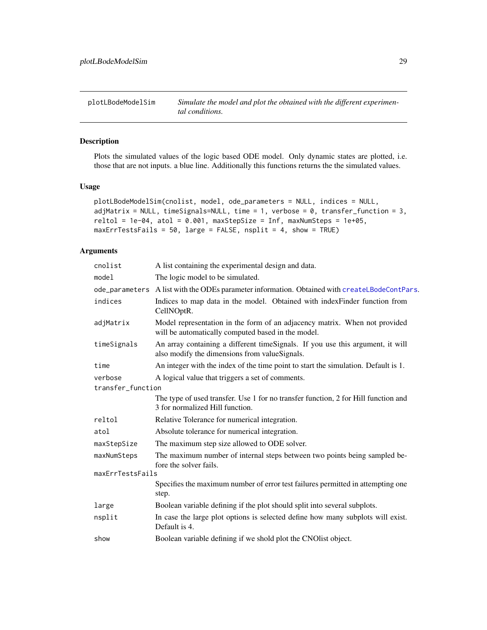<span id="page-28-0"></span>

#### Description

Plots the simulated values of the logic based ODE model. Only dynamic states are plotted, i.e. those that are not inputs. a blue line. Additionally this functions returns the the simulated values.

#### Usage

```
plotLBodeModelSim(cnolist, model, ode_parameters = NULL, indices = NULL,
adjMatrix = NULL, timeSignals=NULL, time = 1, verbose = 0, transfer_function = 3,
reltol = 1e-04, atol = 0.001, maxStepSize = Inf, maxNumSteps = 1e+05,
maxErrTestsFails = 50, large = FALSE, nsplit = 4, show = TRUE)
```

| cnolist           | A list containing the experimental design and data.                                                                              |  |
|-------------------|----------------------------------------------------------------------------------------------------------------------------------|--|
| model             | The logic model to be simulated.                                                                                                 |  |
|                   | ode_parameters A list with the ODEs parameter information. Obtained with createLBodeContPars.                                    |  |
| indices           | Indices to map data in the model. Obtained with indexFinder function from<br>CellNOptR.                                          |  |
| adjMatrix         | Model representation in the form of an adjacency matrix. When not provided<br>will be automatically computed based in the model. |  |
| timeSignals       | An array containing a different timeSignals. If you use this argument, it will<br>also modify the dimensions from valueSignals.  |  |
| time              | An integer with the index of the time point to start the simulation. Default is 1.                                               |  |
| verbose           | A logical value that triggers a set of comments.                                                                                 |  |
| transfer_function |                                                                                                                                  |  |
|                   | The type of used transfer. Use 1 for no transfer function, 2 for Hill function and<br>3 for normalized Hill function.            |  |
| reltol            | Relative Tolerance for numerical integration.                                                                                    |  |
| atol              | Absolute tolerance for numerical integration.                                                                                    |  |
| maxStepSize       | The maximum step size allowed to ODE solver.                                                                                     |  |
| maxNumSteps       | The maximum number of internal steps between two points being sampled be-<br>fore the solver fails.                              |  |
| maxErrTestsFails  |                                                                                                                                  |  |
|                   | Specifies the maximum number of error test failures permitted in attempting one<br>step.                                         |  |
| large             | Boolean variable defining if the plot should split into several subplots.                                                        |  |
| nsplit            | In case the large plot options is selected define how many subplots will exist.<br>Default is 4.                                 |  |
| show              | Boolean variable defining if we shold plot the CNO list object.                                                                  |  |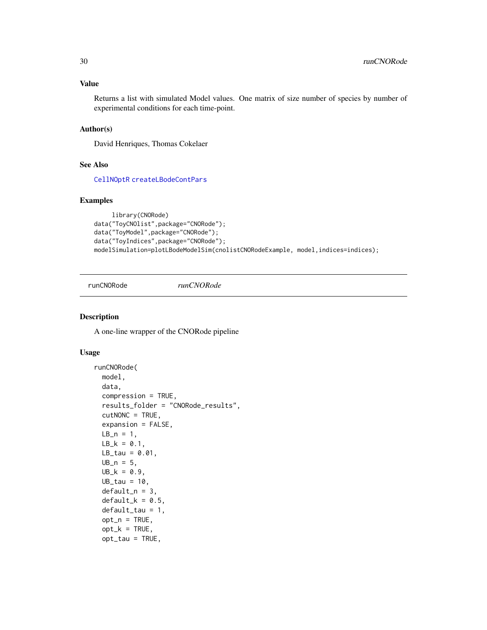#### <span id="page-29-0"></span>Value

Returns a list with simulated Model values. One matrix of size number of species by number of experimental conditions for each time-point.

#### Author(s)

David Henriques, Thomas Cokelaer

#### See Also

[CellNOptR](#page-0-0) [createLBodeContPars](#page-3-1)

#### Examples

```
library(CNORode)
data("ToyCNOlist",package="CNORode");
data("ToyModel",package="CNORode");
data("ToyIndices",package="CNORode");
modelSimulation=plotLBodeModelSim(cnolistCNORodeExample, model,indices=indices);
```
runCNORode *runCNORode*

#### Description

A one-line wrapper of the CNORode pipeline

#### Usage

```
runCNORode(
 model,
  data,
  compression = TRUE,
  results_folder = "CNORode_results",
  cutNONC = TRUE,
  expansion = FALSE,
 LB_n = 1,
 LB_k = 0.1,
 LB\_tau = 0.01,
 UB_n = 5,
 UB_k = 0.9,
 UB\_tau = 10,
  default_n = 3,
  default_k = 0.5,
  default\_tau = 1,
  opt_n = TRUE,opt_k = TRUE,opt\_tau = TRUE,
```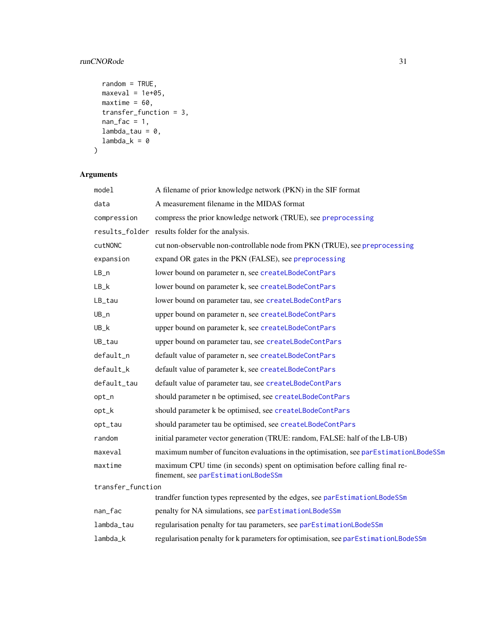#### <span id="page-30-0"></span>runCNORode 31

```
random = TRUE,
 maxeval = 1e+05,
 maxtime = 60,
 transfer_function = 3,
 nan\_fac = 1,
 lambda\_tau = 0,
 lambda_k = 0\mathcal{L}
```

| model             | A filename of prior knowledge network (PKN) in the SIF format                                                       |
|-------------------|---------------------------------------------------------------------------------------------------------------------|
| data              | A measurement filename in the MIDAS format                                                                          |
| compression       | compress the prior knowledge network (TRUE), see preprocessing                                                      |
|                   | results_folder results folder for the analysis.                                                                     |
| cutNONC           | cut non-observable non-controllable node from PKN (TRUE), see preprocessing                                         |
| expansion         | expand OR gates in the PKN (FALSE), see preprocessing                                                               |
| $LB_n$            | lower bound on parameter n, see createLBodeContPars                                                                 |
| $LB_k$            | lower bound on parameter k, see createLBodeContPars                                                                 |
| LB_tau            | lower bound on parameter tau, see createLBodeContPars                                                               |
| $UB_n$            | upper bound on parameter n, see createLBodeContPars                                                                 |
| $UB_k$            | upper bound on parameter k, see createLBodeContPars                                                                 |
| UB_tau            | upper bound on parameter tau, see createLBodeContPars                                                               |
| default_n         | default value of parameter n, see createLBodeContPars                                                               |
| default_k         | default value of parameter k, see createLBodeContPars                                                               |
| default_tau       | default value of parameter tau, see createLBodeContPars                                                             |
| opt_n             | should parameter n be optimised, see createLBodeContPars                                                            |
| opt_k             | should parameter k be optimised, see createLBodeContPars                                                            |
| opt_tau           | should parameter tau be optimised, see createLBodeContPars                                                          |
| random            | initial parameter vector generation (TRUE: random, FALSE: half of the LB-UB)                                        |
| maxeval           | maximum number of funciton evaluations in the optimisation, see parEstimationLBodeSSm                               |
| maxtime           | maximum CPU time (in seconds) spent on optimisation before calling final re-<br>finement, see parEstimationLBodeSSm |
| transfer_function |                                                                                                                     |
|                   | trandfer function types represented by the edges, see parEstimationLBodeSSm                                         |
| nan_fac           | penalty for NA simulations, see parEstimationLBodeSSm                                                               |
| lambda_tau        | regularisation penalty for tau parameters, see parEstimationLBodeSSm                                                |
| lambda k          | regularisation penalty for k parameters for optimisation, see parEstimationLBodeSSm                                 |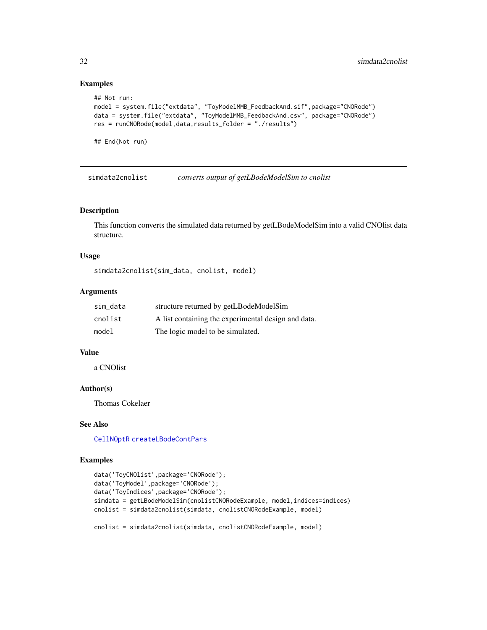#### Examples

```
## Not run:
model = system.file("extdata", "ToyModelMMB_FeedbackAnd.sif",package="CNORode")
data = system.file("extdata", "ToyModelMMB_FeedbackAnd.csv", package="CNORode")
res = runCNORode(model,data,results_folder = "./results")
```
## End(Not run)

simdata2cnolist *converts output of getLBodeModelSim to cnolist*

#### Description

This function converts the simulated data returned by getLBodeModelSim into a valid CNOlist data structure.

#### Usage

```
simdata2cnolist(sim_data, cnolist, model)
```
#### Arguments

| sim data | structure returned by getLBodeModelSim              |
|----------|-----------------------------------------------------|
| cnolist  | A list containing the experimental design and data. |
| model    | The logic model to be simulated.                    |

#### Value

a CNOlist

#### Author(s)

Thomas Cokelaer

#### See Also

[CellNOptR](#page-0-0) [createLBodeContPars](#page-3-1)

#### Examples

```
data('ToyCNOlist',package='CNORode');
data('ToyModel',package='CNORode');
data('ToyIndices',package='CNORode');
simdata = getLBodeModelSim(cnolistCNORodeExample, model, indices=indices)
cnolist = simdata2cnolist(simdata, cnolistCNORodeExample, model)
cnolist = simdata2cnolist(simdata, cnolistCNORodeExample, model)
```
<span id="page-31-0"></span>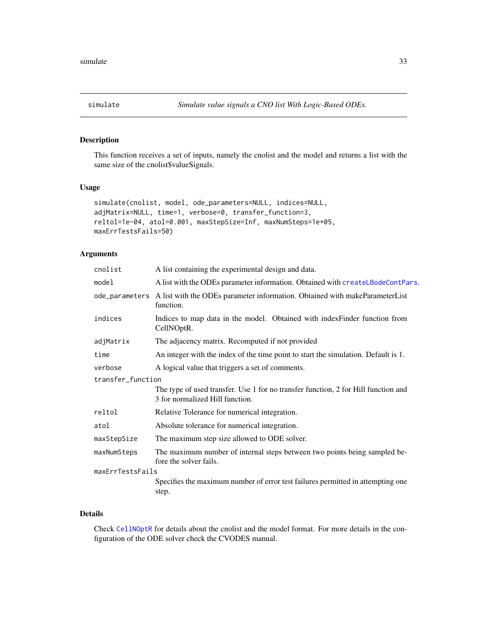<span id="page-32-0"></span>

#### Description

This function receives a set of inputs, namely the cnolist and the model and returns a list with the same size of the cnolist\$valueSignals.

#### Usage

```
simulate(cnolist, model, ode_parameters=NULL, indices=NULL,
adjMatrix=NULL, time=1, verbose=0, transfer_function=3,
reltol=1e-04, atol=0.001, maxStepSize=Inf, maxNumSteps=1e+05,
maxErrTestsFails=50)
```
#### Arguments

| cnolist                                                                                            | A list containing the experimental design and data.                                                                   |  |
|----------------------------------------------------------------------------------------------------|-----------------------------------------------------------------------------------------------------------------------|--|
| model                                                                                              | A list with the ODEs parameter information. Obtained with createLBodeContPars.                                        |  |
| ode_parameters                                                                                     | A list with the ODEs parameter information. Obtained with makeParameterList<br>function.                              |  |
| indices<br>Indices to map data in the model. Obtained with indexFinder function from<br>CellNOptR. |                                                                                                                       |  |
| adjMatrix                                                                                          | The adjacency matrix. Recomputed if not provided                                                                      |  |
| time                                                                                               | An integer with the index of the time point to start the simulation. Default is 1.                                    |  |
| verbose                                                                                            | A logical value that triggers a set of comments.                                                                      |  |
| transfer_function                                                                                  |                                                                                                                       |  |
|                                                                                                    | The type of used transfer. Use 1 for no transfer function, 2 for Hill function and<br>3 for normalized Hill function. |  |
| reltol                                                                                             | Relative Tolerance for numerical integration.                                                                         |  |
| atol                                                                                               | Absolute tolerance for numerical integration.                                                                         |  |
| maxStepSize                                                                                        | The maximum step size allowed to ODE solver.                                                                          |  |
| maxNumSteps                                                                                        | The maximum number of internal steps between two points being sampled be-<br>fore the solver fails.                   |  |
| maxErrTestsFails                                                                                   |                                                                                                                       |  |
|                                                                                                    | Specifies the maximum number of error test failures permitted in attempting one<br>step.                              |  |
|                                                                                                    |                                                                                                                       |  |

#### Details

Check [CellNOptR](#page-0-0) for details about the cnolist and the model format. For more details in the configuration of the ODE solver check the CVODES manual.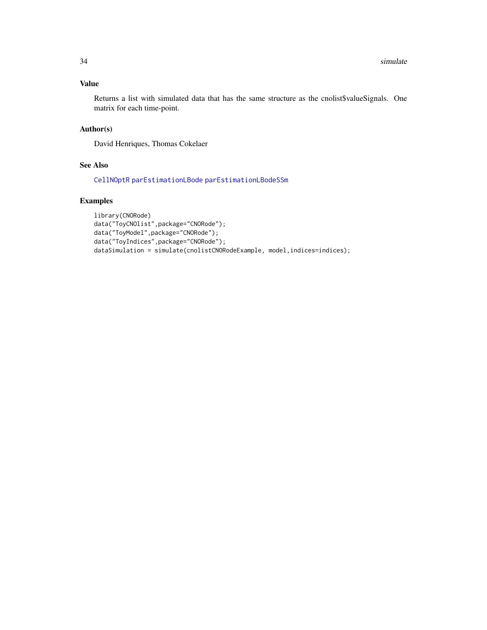#### <span id="page-33-0"></span>Value

Returns a list with simulated data that has the same structure as the cnolist\$valueSignals. One matrix for each time-point.

#### Author(s)

David Henriques, Thomas Cokelaer

#### See Also

[CellNOptR](#page-0-0) [parEstimationLBode](#page-19-1) [parEstimationLBodeSSm](#page-23-1)

#### Examples

```
library(CNORode)
data("ToyCNOlist",package="CNORode");
data("ToyModel",package="CNORode");
data("ToyIndices",package="CNORode");
dataSimulation = simulate(cnolistCNORodeExample, model,indices=indices);
```